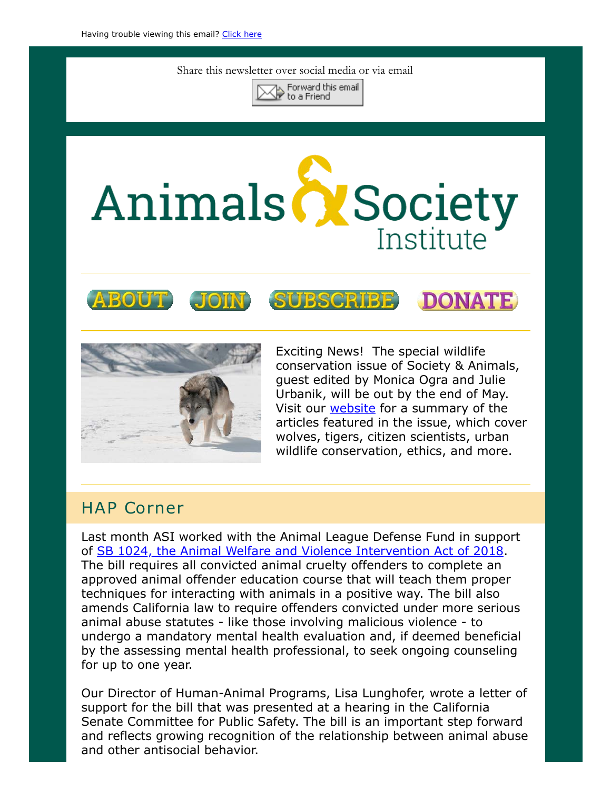Share this newsletter over social media or via email













Exciting News! The special wildlife conservation issue of Society & Animals, guest edited by Monica Ogra and Julie Urbanik, will be out by the end of May. Visit our **website** for a summary of the articles featured in the issue, which cover wolves, tigers, citizen scientists, urban wildlife conservation, ethics, and more.

## HAP Corner

Last month ASI worked with the Animal League Defense Fund in support of [SB 1024, the Animal Welfare and Violence Intervention Act of 2018](https://leginfo.legislature.ca.gov/faces/billTextClient.xhtml?bill_id=201720180SB1024). The bill requires all convicted animal cruelty offenders to complete an approved animal offender education course that will teach them proper techniques for interacting with animals in a positive way. The bill also amends California law to require offenders convicted under more serious animal abuse statutes - like those involving malicious violence - to undergo a mandatory mental health evaluation and, if deemed beneficial by the assessing mental health professional, to seek ongoing counseling for up to one year.

Our Director of Human-Animal Programs, Lisa Lunghofer, wrote a letter of support for the bill that was presented at a hearing in the California Senate Committee for Public Safety. The bill is an important step forward and reflects growing recognition of the relationship between animal abuse and other antisocial behavior.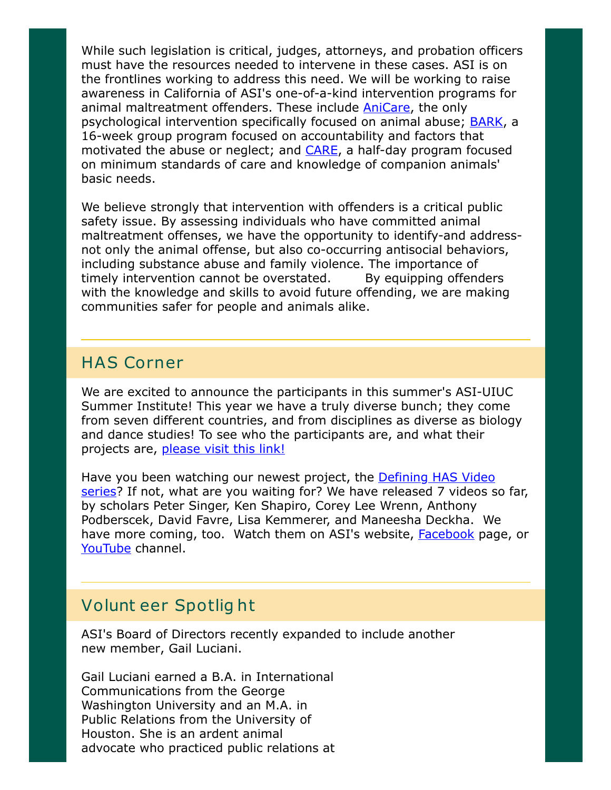While such legislation is critical, judges, attorneys, and probation officers must have the resources needed to intervene in these cases. ASI is on the frontlines working to address this need. We will be working to raise awareness in California of ASI's one-of-a-kind intervention programs for animal maltreatment offenders. These include **AniCare**, the only psychological intervention specifically focused on animal abuse; **BARK**, a 16-week group program focused on accountability and factors that motivated the abuse or neglect; and **CARE**, a half-day program focused on minimum standards of care and knowledge of companion animals' basic needs.

We believe strongly that intervention with offenders is a critical public safety issue. By assessing individuals who have committed animal maltreatment offenses, we have the opportunity to identify-and addressnot only the animal offense, but also co-occurring antisocial behaviors, including substance abuse and family violence. The importance of timely intervention cannot be overstated. By equipping offenders with the knowledge and skills to avoid future offending, we are making communities safer for people and animals alike.

## HAS Corner

We are excited to announce the participants in this summer's ASI-UIUC Summer Institute! This year we have a truly diverse bunch; they come from seven different countries, and from disciplines as diverse as biology and dance studies! To see who the participants are, and what their projects are, [please visit this link!](https://www.animalsandsociety.org/news/meet-the-2018-summer-institute-participants/)

[Have you been watching our newest project, the Defining HAS Video](https://www.animalsandsociety.org/human-animal-studies/defining-human-animal-studies-an-asi-video-project/) series? If not, what are you waiting for? We have released 7 videos so far, by scholars Peter Singer, Ken Shapiro, Corey Lee Wrenn, Anthony Podberscek, David Favre, Lisa Kemmerer, and Maneesha Deckha. We have more coming, too. Watch them on ASI's website, [Facebook](https://www.facebook.com/AnimalsandSocietyInstitute/) page, or [YouTube](https://www.youtube.com/channel/UCYFzG0WRv3bG_bU3HcxesYg) channel.

## Volunt eer Spotlig ht

ASI's Board of Directors recently expanded to include another new member, Gail Luciani.

Gail Luciani earned a B.A. in International Communications from the George Washington University and an M.A. in Public Relations from the University of Houston. She is an ardent animal advocate who practiced public relations at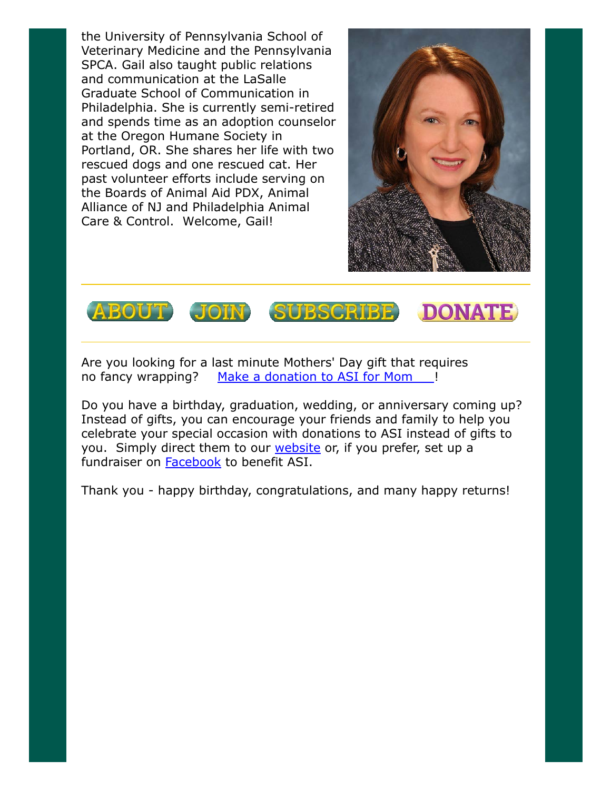the University of Pennsylvania School of Veterinary Medicine and the Pennsylvania SPCA. Gail also taught public relations and communication at the LaSalle Graduate School of Communication in Philadelphia. She is currently semi-retired and spends time as an adoption counselor at the Oregon Humane Society in Portland, OR. She shares her life with two rescued dogs and one rescued cat. Her past volunteer efforts include serving on the Boards of Animal Aid PDX, Animal Alliance of NJ and Philadelphia Animal Care & Control. Welcome, Gail!





Are you looking for a last minute Mothers' Day gift that requires no fancy wrapping? [Make a donation to ASI for Mom](https://www.givedirect.org/donate/?cid=4552) !

Do you have a birthday, graduation, wedding, or anniversary coming up? Instead of gifts, you can encourage your friends and family to help you celebrate your special occasion with donations to ASI instead of gifts to you. Simply direct them to our **website** or, if you prefer, set up a fundraiser on [Facebook](https://www.facebook.com/AnimalsandSocietyInstitute/) to benefit ASI.

Thank you - happy birthday, congratulations, and many happy returns!